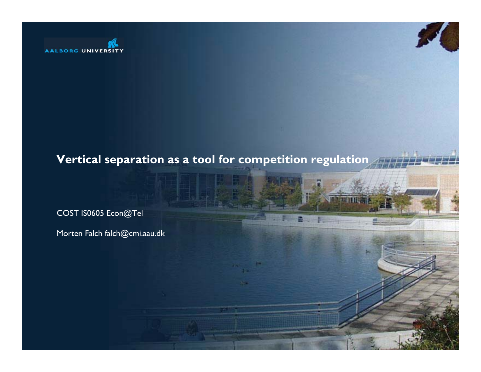

#### **Vertical separation as a tool for competition regulation**

COST IS0605 Econ@Tel

Morten Falch falch@cmi.aau.dk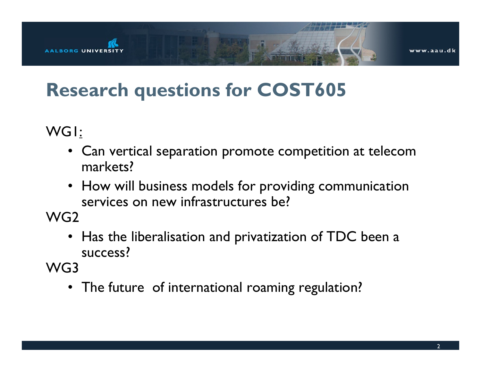

## **Research questions for COST605**

WG1:

- Can vertical separation promote competition at telecom markets?
- How will business models for providing communication services on new infrastructures be?

WG2

• Has the liberalisation and privatization of TDC been <sup>a</sup> success?

WG3

• The future of international roaming regulation?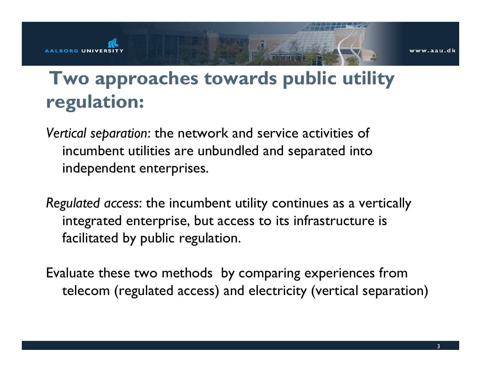# **Two approaches towards public utility regulation:**

AALBORG UNIVERSI

*Vertical separation*: the network and service activities of incumbent utilities are unbundled and separated into independent enterprises.

*Regulated access*: the incumbent utility continues as a vertically integrated enterprise, but access to its infrastructure is facilitated by public regulation.

Evaluate these two methods by comparing experiences from telecom (regulated access) and electricity (vertical separation)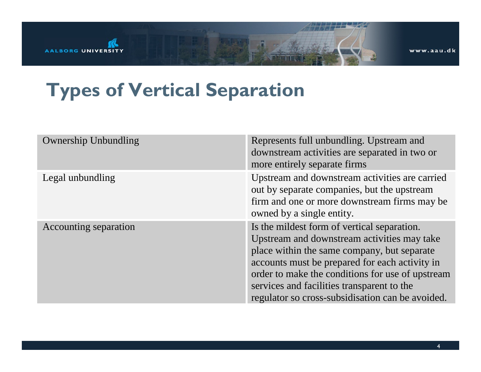

www.aau.dk

## **Types of Vertical Separation**

| <b>Ownership Unbundling</b> | Represents full unbundling. Upstream and<br>downstream activities are separated in two or<br>more entirely separate firms                                                                                                                                                                                                                         |
|-----------------------------|---------------------------------------------------------------------------------------------------------------------------------------------------------------------------------------------------------------------------------------------------------------------------------------------------------------------------------------------------|
| Legal unbundling            | Upstream and downstream activities are carried<br>out by separate companies, but the upstream<br>firm and one or more downstream firms may be<br>owned by a single entity.                                                                                                                                                                        |
| Accounting separation       | Is the mildest form of vertical separation.<br>Upstream and downstream activities may take<br>place within the same company, but separate<br>accounts must be prepared for each activity in<br>order to make the conditions for use of upstream<br>services and facilities transparent to the<br>regulator so cross-subsidisation can be avoided. |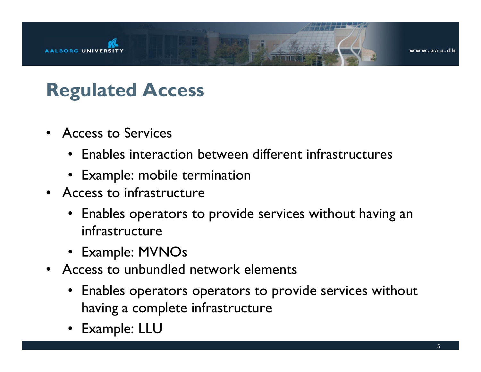

#### **Regulated Access**

- Access to Services
	- Enables interaction between different infrastructures
	- Example: mobile termination
- Access to infrastructure
	- Enables operators to provide services without having an infrastructure
	- Example: MVNOs
- Access to unbundled network elements
	- Enables operators operators to provide services without having a complete infrastructure
	- •Example: LLU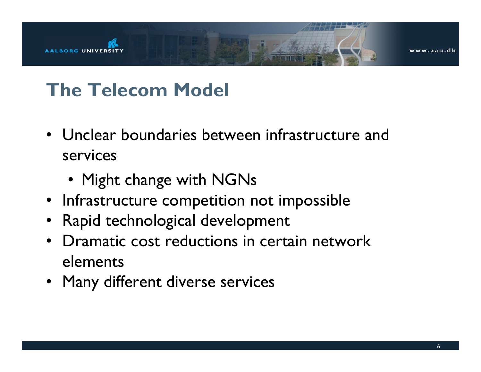

# **The Telecom Model**

- Unclear boundaries between infrastructure and services
	- Might change with NGNs
- Infrastructure competition not impossible
- Rapid technological development
- Dramatic cost reductions in certain networkelements
- Many different diverse services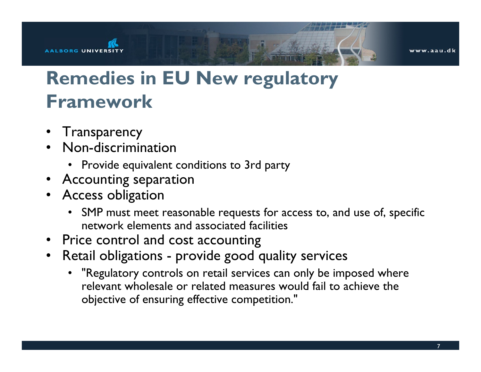

# **Remedies in EU New regulatory Framework**

• Transparency

ALBORG UNIVERSI

- Non-discrimination
	- Provide equivalent conditions to 3rd party
- Accounting separation
- Access obligation
	- SMP must meet reasonable requests for access to, and use of, specific network elements and associated facilities
- Price control and cost accounting
- • Retail obligations - provide good quality services
	- • "Regulatory controls on retail services can only be imposed where relevant wholesale or related measures would fail to achieve theobjective of ensuring effective competition."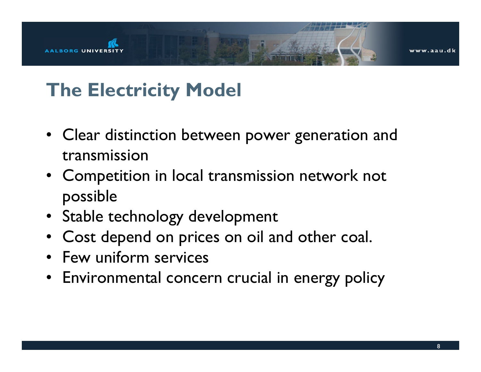

# **The Electricity Model**

- Clear distinction between power generation and transmission
- Competition in local transmission network not possible
- Stable technology development
- Cost depend on prices on oil and other coal.
- Few uniform services
- Environmental concern crucial in energy policy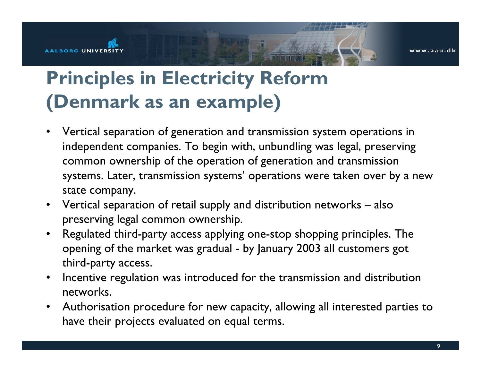#### AALBORG UNIVERSIT

vww.aau.dk

# **Principles in Electricity Reform (Denmark as an example)**

- • Vertical separation of generation and transmission system operations in independent companies. To begin with, unbundling was legal, preserving common ownership of the operation of generation and transmission systems. Later, transmission systems' operations were taken over by a new state company.
- Vertical separation of retail supply and distribution networks also preserving legal common ownership.
- Regulated third-party access applying one-stop shopping principles. The opening of the market was gradual - by January 2003 all customers got third-party access.
- $\bullet$  Incentive regulation was introduced for the transmission and distribution networks.
- Authorisation procedure for new capacity, allowing all interested parties to have their projects evaluated on equal terms.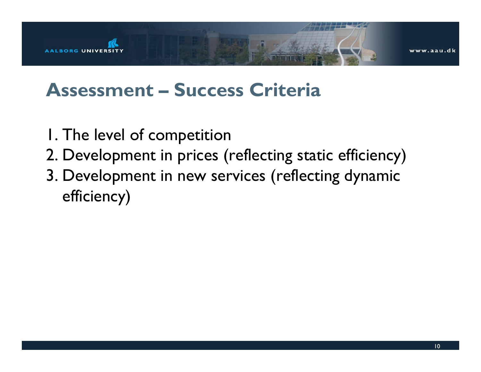

#### **Assessment – Success Criteria**

- 1. The level of competition
- 2. Development in prices (reflecting static efficiency)
- 3. Development in new services (reflecting dynamic efficiency)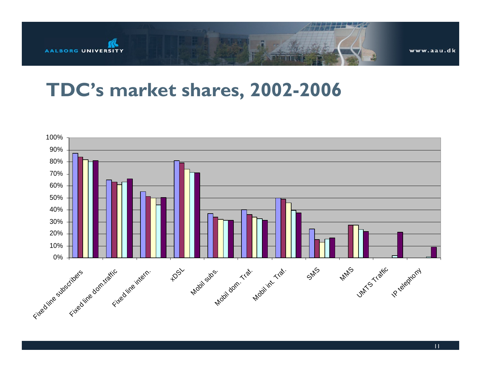

#### **TDC's market shares, 2002-2006**



11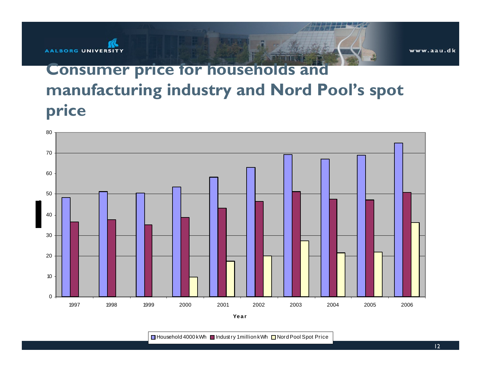

#### **Consumer price for households and manufacturing industry and Nord Pool's spot price**



Household 4000 kWh ■ Indust ry 1 million kWh ■ Nord Pool Spot Price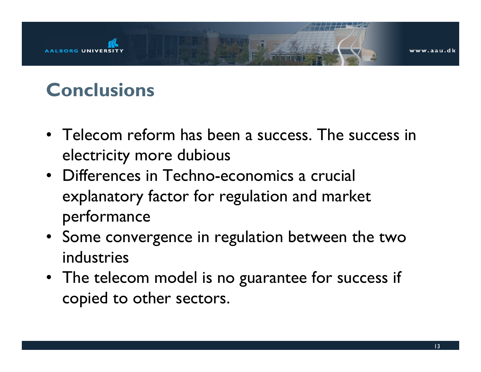

## **Conclusions**

- Telecom reform has been a success. The success in electricity more dubious
- Differences in Techno-economics a crucialexplanatory factor for regulation and market performance
- Some convergence in regulation between the two industries
- The telecom model is no guarantee for success if copied to other sectors.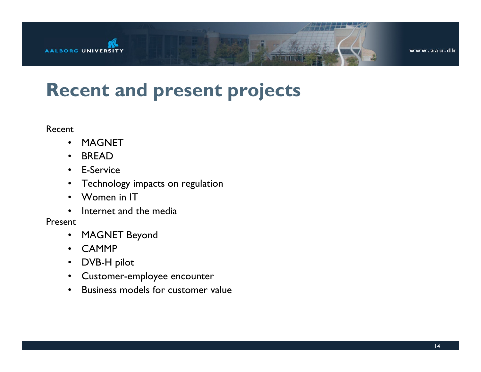

#### **Recent and present projects**

#### Recent

- •MAGNET
- •BREAD
- E-Service
- $\bullet$ Technology impacts on regulation
- •Women in IT
- •Internet and the media

#### Present

- MAGNET Beyond
- •CAMMP
- DVB-H pilot
- Customer-employee encounter
- •Business models for customer value